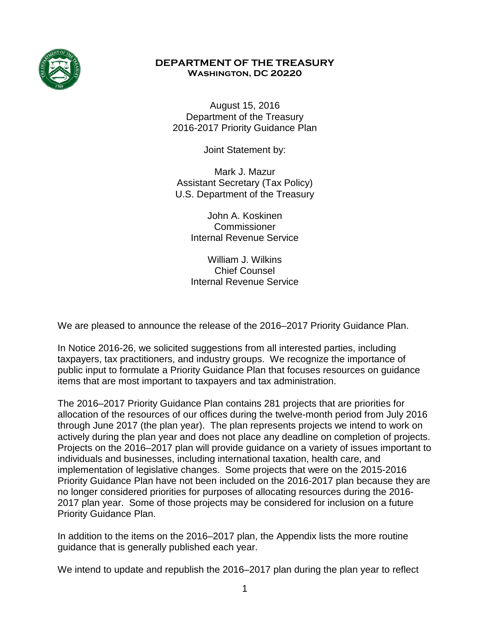

#### **DEPARTMENT OF THE TREASURY Washington, DC 20220**

August 15, 2016 Department of the Treasury 2016-2017 Priority Guidance Plan

Joint Statement by:

Mark J. Mazur Assistant Secretary (Tax Policy) U.S. Department of the Treasury

> John A. Koskinen Commissioner Internal Revenue Service

> William J. Wilkins Chief Counsel Internal Revenue Service

We are pleased to announce the release of the 2016–2017 Priority Guidance Plan.

In Notice 2016-26, we solicited suggestions from all interested parties, including taxpayers, tax practitioners, and industry groups. We recognize the importance of public input to formulate a Priority Guidance Plan that focuses resources on guidance items that are most important to taxpayers and tax administration.

The 2016–2017 Priority Guidance Plan contains 281 projects that are priorities for allocation of the resources of our offices during the twelve-month period from July 2016 through June 2017 (the plan year). The plan represents projects we intend to work on actively during the plan year and does not place any deadline on completion of projects. Projects on the 2016–2017 plan will provide guidance on a variety of issues important to individuals and businesses, including international taxation, health care, and implementation of legislative changes. Some projects that were on the 2015-2016 Priority Guidance Plan have not been included on the 2016-2017 plan because they are no longer considered priorities for purposes of allocating resources during the 2016- 2017 plan year. Some of those projects may be considered for inclusion on a future Priority Guidance Plan.

In addition to the items on the 2016–2017 plan, the Appendix lists the more routine guidance that is generally published each year.

We intend to update and republish the 2016–2017 plan during the plan year to reflect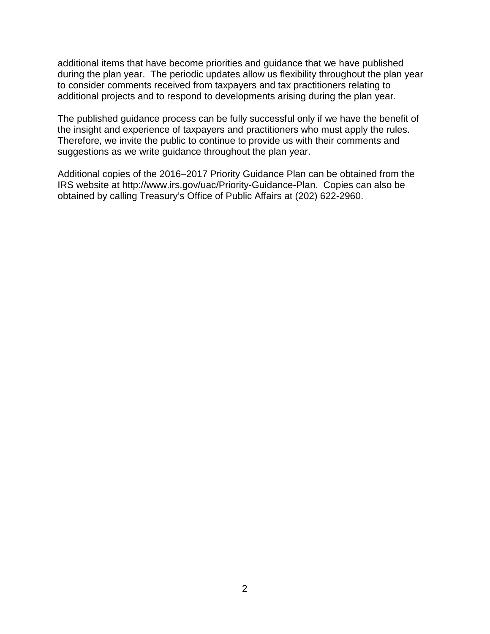additional items that have become priorities and guidance that we have published during the plan year. The periodic updates allow us flexibility throughout the plan year to consider comments received from taxpayers and tax practitioners relating to additional projects and to respond to developments arising during the plan year.

The published guidance process can be fully successful only if we have the benefit of the insight and experience of taxpayers and practitioners who must apply the rules. Therefore, we invite the public to continue to provide us with their comments and suggestions as we write guidance throughout the plan year.

Additional copies of the 2016–2017 Priority Guidance Plan can be obtained from the IRS website at http://www.irs.gov/uac/Priority-Guidance-Plan. Copies can also be obtained by calling Treasury's Office of Public Affairs at (202) 622-2960.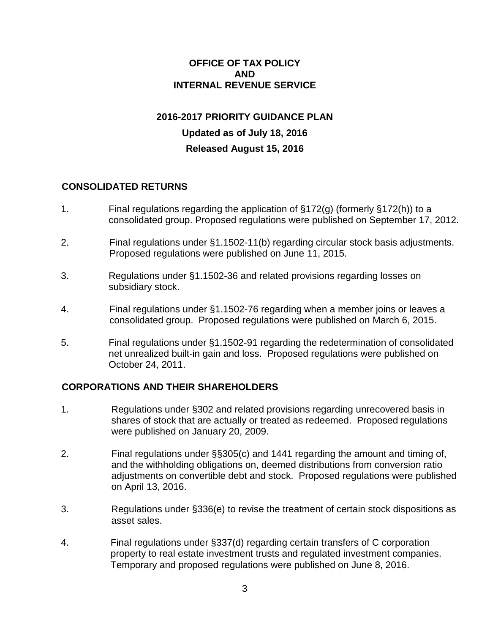#### **OFFICE OF TAX POLICY AND INTERNAL REVENUE SERVICE**

# **2016-2017 PRIORITY GUIDANCE PLAN Updated as of July 18, 2016 Released August 15, 2016**

#### **CONSOLIDATED RETURNS**

- 1. Final regulations regarding the application of §172(g) (formerly §172(h)) to a consolidated group. Proposed regulations were published on September 17, 2012.
- 2. Final regulations under §1.1502-11(b) regarding circular stock basis adjustments. Proposed regulations were published on June 11, 2015.
- 3. Regulations under §1.1502-36 and related provisions regarding losses on subsidiary stock.
- 4. Final regulations under §1.1502-76 regarding when a member joins or leaves a consolidated group. Proposed regulations were published on March 6, 2015.
- 5. Final regulations under §1.1502-91 regarding the redetermination of consolidated net unrealized built-in gain and loss. Proposed regulations were published on October 24, 2011.

#### **CORPORATIONS AND THEIR SHAREHOLDERS**

- 1. Regulations under §302 and related provisions regarding unrecovered basis in shares of stock that are actually or treated as redeemed. Proposed regulations were published on January 20, 2009.
- 2. Final regulations under §§305(c) and 1441 regarding the amount and timing of, and the withholding obligations on, deemed distributions from conversion ratio adjustments on convertible debt and stock. Proposed regulations were published on April 13, 2016.
- 3. Regulations under §336(e) to revise the treatment of certain stock dispositions as asset sales.
- 4. Final regulations under §337(d) regarding certain transfers of C corporation property to real estate investment trusts and regulated investment companies. Temporary and proposed regulations were published on June 8, 2016.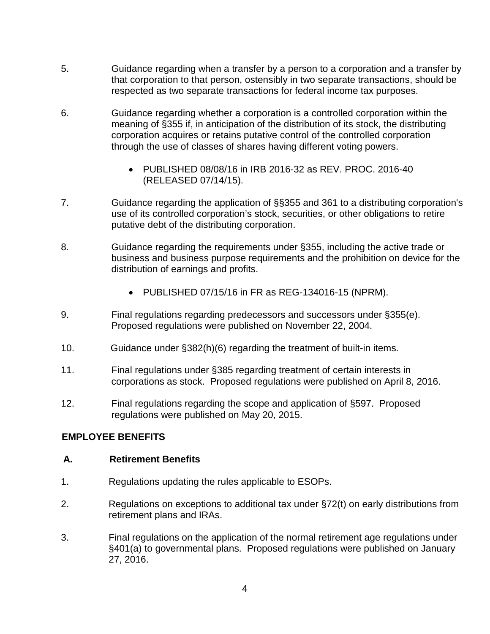- 5. Guidance regarding when a transfer by a person to a corporation and a transfer by that corporation to that person, ostensibly in two separate transactions, should be respected as two separate transactions for federal income tax purposes.
- 6. Guidance regarding whether a corporation is a controlled corporation within the meaning of §355 if, in anticipation of the distribution of its stock, the distributing corporation acquires or retains putative control of the controlled corporation through the use of classes of shares having different voting powers.
	- PUBLISHED 08/08/16 in IRB 2016-32 as REV. PROC. 2016-40 (RELEASED 07/14/15).
- 7. Guidance regarding the application of §§355 and 361 to a distributing corporation's use of its controlled corporation's stock, securities, or other obligations to retire putative debt of the distributing corporation.
- 8. Guidance regarding the requirements under §355, including the active trade or business and business purpose requirements and the prohibition on device for the distribution of earnings and profits.
	- PUBLISHED 07/15/16 in FR as REG-134016-15 (NPRM).
- 9. Final regulations regarding predecessors and successors under §355(e). Proposed regulations were published on November 22, 2004.
- 10. Guidance under §382(h)(6) regarding the treatment of built-in items.
- 11. Final regulations under §385 regarding treatment of certain interests in corporations as stock. Proposed regulations were published on April 8, 2016.
- 12. Final regulations regarding the scope and application of §597. Proposed regulations were published on May 20, 2015.

#### **EMPLOYEE BENEFITS**

#### **A. Retirement Benefits**

- 1. Regulations updating the rules applicable to ESOPs.
- 2. Regulations on exceptions to additional tax under §72(t) on early distributions from retirement plans and IRAs.
- 3. Final regulations on the application of the normal retirement age regulations under §401(a) to governmental plans. Proposed regulations were published on January 27, 2016.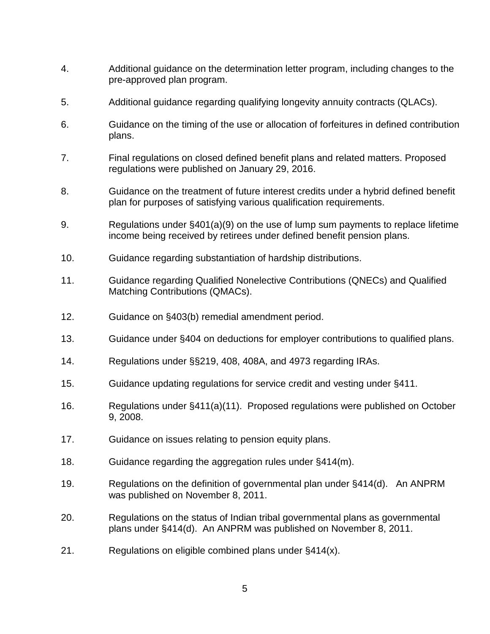- 4. Additional guidance on the determination letter program, including changes to the pre-approved plan program.
- 5. Additional guidance regarding qualifying longevity annuity contracts (QLACs).
- 6. Guidance on the timing of the use or allocation of forfeitures in defined contribution plans.
- 7. Final regulations on closed defined benefit plans and related matters. Proposed regulations were published on January 29, 2016.
- 8. Guidance on the treatment of future interest credits under a hybrid defined benefit plan for purposes of satisfying various qualification requirements.
- 9. Regulations under §401(a)(9) on the use of lump sum payments to replace lifetime income being received by retirees under defined benefit pension plans.
- 10. Guidance regarding substantiation of hardship distributions.
- 11. Guidance regarding Qualified Nonelective Contributions (QNECs) and Qualified Matching Contributions (QMACs).
- 12. Guidance on §403(b) remedial amendment period.
- 13. Guidance under §404 on deductions for employer contributions to qualified plans.
- 14. Regulations under §§219, 408, 408A, and 4973 regarding IRAs.
- 15. Guidance updating regulations for service credit and vesting under §411.
- 16. Regulations under §411(a)(11). Proposed regulations were published on October 9, 2008.
- 17. Guidance on issues relating to pension equity plans.
- 18. Guidance regarding the aggregation rules under §414(m).
- 19. Regulations on the definition of governmental plan under §414(d). An ANPRM was published on November 8, 2011.
- 20. Regulations on the status of Indian tribal governmental plans as governmental plans under §414(d). An ANPRM was published on November 8, 2011.
- 21. Regulations on eligible combined plans under §414(x).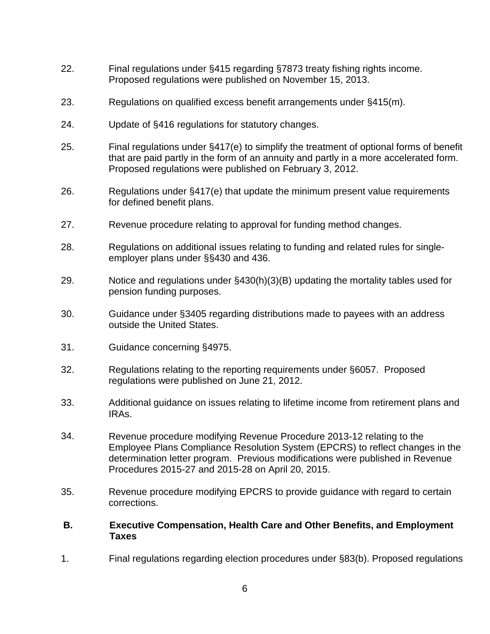- 22. Final regulations under §415 regarding §7873 treaty fishing rights income. Proposed regulations were published on November 15, 2013.
- 23. Regulations on qualified excess benefit arrangements under §415(m).
- 24. Update of §416 regulations for statutory changes.
- 25. Final regulations under §417(e) to simplify the treatment of optional forms of benefit that are paid partly in the form of an annuity and partly in a more accelerated form. Proposed regulations were published on February 3, 2012.
- 26. Regulations under §417(e) that update the minimum present value requirements for defined benefit plans.
- 27. Revenue procedure relating to approval for funding method changes.
- 28. Regulations on additional issues relating to funding and related rules for singleemployer plans under §§430 and 436.
- 29. Notice and regulations under §430(h)(3)(B) updating the mortality tables used for pension funding purposes.
- 30. Guidance under §3405 regarding distributions made to payees with an address outside the United States.
- 31. Guidance concerning §4975.
- 32. Regulations relating to the reporting requirements under §6057. Proposed regulations were published on June 21, 2012.
- 33. Additional guidance on issues relating to lifetime income from retirement plans and IRAs.
- 34. Revenue procedure modifying Revenue Procedure 2013-12 relating to the Employee Plans Compliance Resolution System (EPCRS) to reflect changes in the determination letter program. Previous modifications were published in Revenue Procedures 2015-27 and 2015-28 on April 20, 2015.
- 35. Revenue procedure modifying EPCRS to provide guidance with regard to certain corrections.
- **B. Executive Compensation, Health Care and Other Benefits, and Employment Taxes**
- 1. Final regulations regarding election procedures under §83(b). Proposed regulations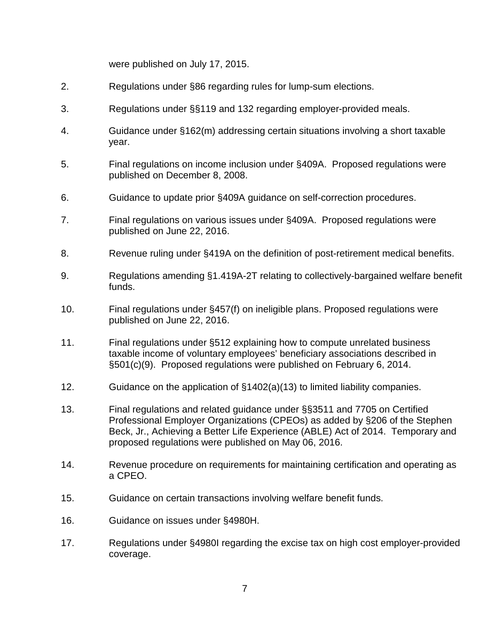were published on July 17, 2015.

- 2. Regulations under §86 regarding rules for lump-sum elections.
- 3. Regulations under §§119 and 132 regarding employer-provided meals.
- 4. Guidance under §162(m) addressing certain situations involving a short taxable year.
- 5. Final regulations on income inclusion under §409A. Proposed regulations were published on December 8, 2008.
- 6. Guidance to update prior §409A guidance on self-correction procedures.
- 7. Final regulations on various issues under §409A. Proposed regulations were published on June 22, 2016.
- 8. Revenue ruling under §419A on the definition of post-retirement medical benefits.
- 9. Regulations amending §1.419A-2T relating to collectively-bargained welfare benefit funds.
- 10. Final regulations under §457(f) on ineligible plans. Proposed regulations were published on June 22, 2016.
- 11. Final regulations under §512 explaining how to compute unrelated business taxable income of voluntary employees' beneficiary associations described in §501(c)(9). Proposed regulations were published on February 6, 2014.
- 12. Guidance on the application of §1402(a)(13) to limited liability companies.
- 13. Final regulations and related guidance under §§3511 and 7705 on Certified Professional Employer Organizations (CPEOs) as added by §206 of the Stephen Beck, Jr., Achieving a Better Life Experience (ABLE) Act of 2014. Temporary and proposed regulations were published on May 06, 2016.
- 14. Revenue procedure on requirements for maintaining certification and operating as a CPEO.
- 15. Guidance on certain transactions involving welfare benefit funds.
- 16. Guidance on issues under §4980H.
- 17. Regulations under §4980I regarding the excise tax on high cost employer-provided coverage.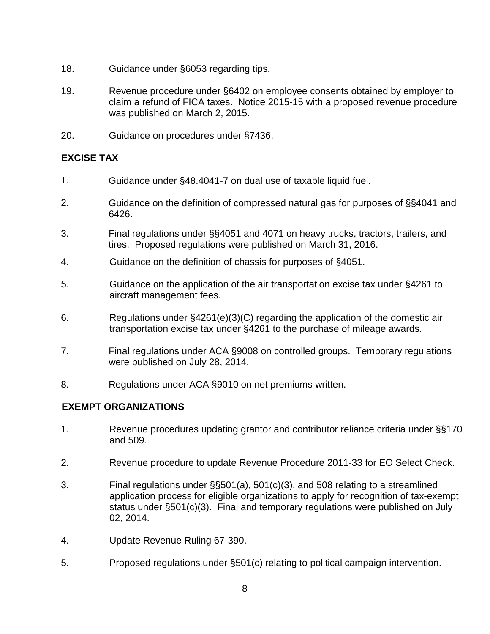- 18. Guidance under §6053 regarding tips.
- 19. Revenue procedure under §6402 on employee consents obtained by employer to claim a refund of FICA taxes. Notice 2015-15 with a proposed revenue procedure was published on March 2, 2015.
- 20. Guidance on procedures under §7436.

# **EXCISE TAX**

- 1. Guidance under §48.4041-7 on dual use of taxable liquid fuel.
- 2. Guidance on the definition of compressed natural gas for purposes of §§4041 and 6426.
- 3. Final regulations under §§4051 and 4071 on heavy trucks, tractors, trailers, and tires. Proposed regulations were published on March 31, 2016.
- 4. Guidance on the definition of chassis for purposes of §4051.
- 5. Guidance on the application of the air transportation excise tax under §4261 to aircraft management fees.
- 6. Regulations under §4261(e)(3)(C) regarding the application of the domestic air transportation excise tax under §4261 to the purchase of mileage awards.
- 7. Final regulations under ACA §9008 on controlled groups. Temporary regulations were published on July 28, 2014.
- 8. Regulations under ACA §9010 on net premiums written.

# **EXEMPT ORGANIZATIONS**

- 1. Revenue procedures updating grantor and contributor reliance criteria under §§170 and 509.
- 2. Revenue procedure to update Revenue Procedure 2011-33 for EO Select Check.
- 3. Final regulations under §§501(a), 501(c)(3), and 508 relating to a streamlined application process for eligible organizations to apply for recognition of tax-exempt status under §501(c)(3). Final and temporary regulations were published on July 02, 2014.
- 4. Update Revenue Ruling 67-390.
- 5. Proposed regulations under §501(c) relating to political campaign intervention.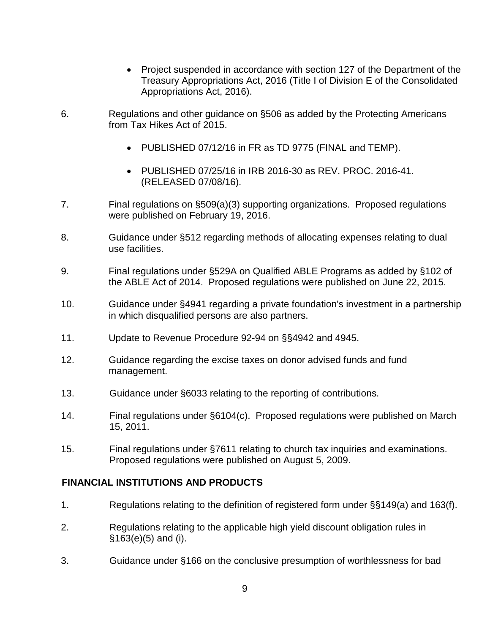- Project suspended in accordance with section 127 of the Department of the Treasury Appropriations Act, 2016 (Title I of Division E of the Consolidated Appropriations Act, 2016).
- 6. Regulations and other guidance on §506 as added by the Protecting Americans from Tax Hikes Act of 2015.
	- PUBLISHED 07/12/16 in FR as TD 9775 (FINAL and TEMP).
	- PUBLISHED 07/25/16 in IRB 2016-30 as REV. PROC. 2016-41. (RELEASED 07/08/16).
- 7. Final regulations on §509(a)(3) supporting organizations. Proposed regulations were published on February 19, 2016.
- 8. Guidance under §512 regarding methods of allocating expenses relating to dual use facilities.
- 9. Final regulations under §529A on Qualified ABLE Programs as added by §102 of the ABLE Act of 2014. Proposed regulations were published on June 22, 2015.
- 10. Guidance under §4941 regarding a private foundation's investment in a partnership in which disqualified persons are also partners.
- 11. Update to Revenue Procedure 92-94 on §§4942 and 4945.
- 12. Guidance regarding the excise taxes on donor advised funds and fund management.
- 13. Guidance under §6033 relating to the reporting of contributions.
- 14. Final regulations under §6104(c). Proposed regulations were published on March 15, 2011.
- 15. Final regulations under §7611 relating to church tax inquiries and examinations. Proposed regulations were published on August 5, 2009.

#### **FINANCIAL INSTITUTIONS AND PRODUCTS**

- 1. Regulations relating to the definition of registered form under §§149(a) and 163(f).
- 2. Regulations relating to the applicable high yield discount obligation rules in §163(e)(5) and (i).
- 3. Guidance under §166 on the conclusive presumption of worthlessness for bad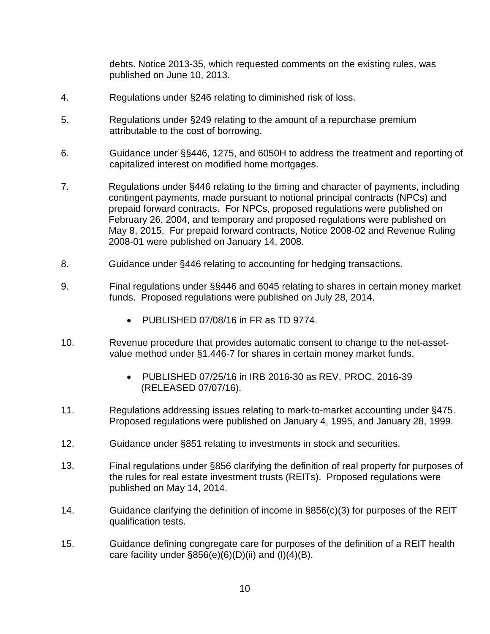debts. Notice 2013-35, which requested comments on the existing rules, was published on June 10, 2013.

- 4. Regulations under §246 relating to diminished risk of loss.
- 5. Regulations under §249 relating to the amount of a repurchase premium attributable to the cost of borrowing.
- 6. Guidance under §§446, 1275, and 6050H to address the treatment and reporting of capitalized interest on modified home mortgages.
- 7. Regulations under §446 relating to the timing and character of payments, including contingent payments, made pursuant to notional principal contracts (NPCs) and prepaid forward contracts. For NPCs, proposed regulations were published on February 26, 2004, and temporary and proposed regulations were published on May 8, 2015. For prepaid forward contracts, Notice 2008-02 and Revenue Ruling 2008-01 were published on January 14, 2008.
- 8. Guidance under §446 relating to accounting for hedging transactions.
- 9. Final regulations under §§446 and 6045 relating to shares in certain money market funds. Proposed regulations were published on July 28, 2014.
	- PUBLISHED 07/08/16 in FR as TD 9774.
- 10. Revenue procedure that provides automatic consent to change to the net-assetvalue method under §1.446-7 for shares in certain money market funds.
	- PUBLISHED 07/25/16 in IRB 2016-30 as REV. PROC. 2016-39 (RELEASED 07/07/16).
- 11. Regulations addressing issues relating to mark-to-market accounting under §475. Proposed regulations were published on January 4, 1995, and January 28, 1999.
- 12. Guidance under §851 relating to investments in stock and securities.
- 13. Final regulations under §856 clarifying the definition of real property for purposes of the rules for real estate investment trusts (REITs). Proposed regulations were published on May 14, 2014.
- 14. Guidance clarifying the definition of income in §856(c)(3) for purposes of the REIT qualification tests.
- 15. Guidance defining congregate care for purposes of the definition of a REIT health care facility under  $\S 856(e)(6)(D)(ii)$  and  $(I)(4)(B)$ .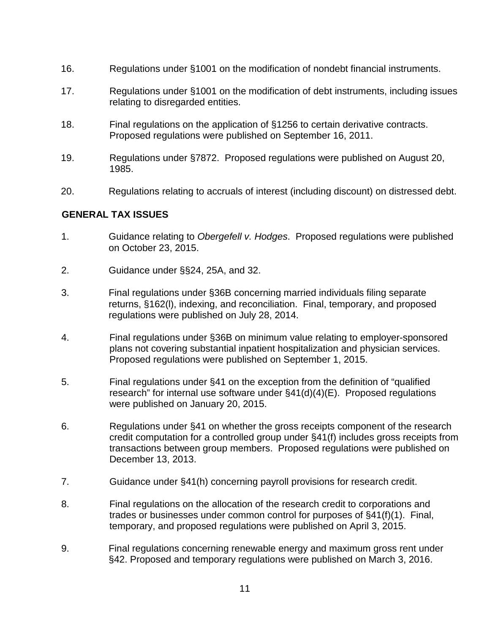- 16. Regulations under §1001 on the modification of nondebt financial instruments.
- 17. Regulations under §1001 on the modification of debt instruments, including issues relating to disregarded entities.
- 18. Final regulations on the application of §1256 to certain derivative contracts. Proposed regulations were published on September 16, 2011.
- 19. Regulations under §7872. Proposed regulations were published on August 20, 1985.
- 20. Regulations relating to accruals of interest (including discount) on distressed debt.

#### **GENERAL TAX ISSUES**

- 1. Guidance relating to *Obergefell v. Hodges*. Proposed regulations were published on October 23, 2015.
- 2. Guidance under §§24, 25A, and 32.
- 3. Final regulations under §36B concerning married individuals filing separate returns, §162(l), indexing, and reconciliation. Final, temporary, and proposed regulations were published on July 28, 2014.
- 4. Final regulations under §36B on minimum value relating to employer-sponsored plans not covering substantial inpatient hospitalization and physician services. Proposed regulations were published on September 1, 2015.
- 5. Final regulations under §41 on the exception from the definition of "qualified research" for internal use software under §41(d)(4)(E). Proposed regulations were published on January 20, 2015.
- 6. Regulations under §41 on whether the gross receipts component of the research credit computation for a controlled group under §41(f) includes gross receipts from transactions between group members. Proposed regulations were published on December 13, 2013.
- 7. Guidance under §41(h) concerning payroll provisions for research credit.
- 8. Final regulations on the allocation of the research credit to corporations and trades or businesses under common control for purposes of §41(f)(1). Final, temporary, and proposed regulations were published on April 3, 2015.
- 9. Final regulations concerning renewable energy and maximum gross rent under §42. Proposed and temporary regulations were published on March 3, 2016.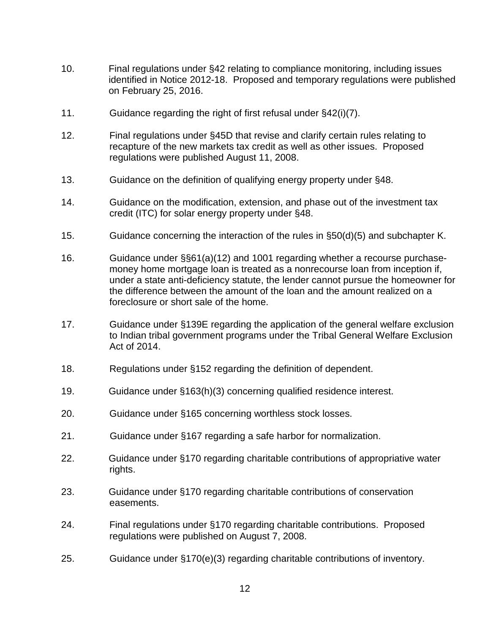- 10. Final regulations under §42 relating to compliance monitoring, including issues identified in Notice 2012-18. Proposed and temporary regulations were published on February 25, 2016.
- 11. Guidance regarding the right of first refusal under §42(i)(7).
- 12. Final regulations under §45D that revise and clarify certain rules relating to recapture of the new markets tax credit as well as other issues. Proposed regulations were published August 11, 2008.
- 13. Guidance on the definition of qualifying energy property under §48.
- 14. Guidance on the modification, extension, and phase out of the investment tax credit (ITC) for solar energy property under §48.
- 15. Guidance concerning the interaction of the rules in §50(d)(5) and subchapter K.
- 16. Guidance under §§61(a)(12) and 1001 regarding whether a recourse purchasemoney home mortgage loan is treated as a nonrecourse loan from inception if, under a state anti-deficiency statute, the lender cannot pursue the homeowner for the difference between the amount of the loan and the amount realized on a foreclosure or short sale of the home.
- 17. Guidance under §139E regarding the application of the general welfare exclusion to Indian tribal government programs under the Tribal General Welfare Exclusion Act of 2014.
- 18. Regulations under §152 regarding the definition of dependent.
- 19. Guidance under §163(h)(3) concerning qualified residence interest.
- 20. Guidance under §165 concerning worthless stock losses.
- 21. Guidance under §167 regarding a safe harbor for normalization.
- 22. Guidance under §170 regarding charitable contributions of appropriative water rights.
- 23. Guidance under §170 regarding charitable contributions of conservation easements.
- 24. Final regulations under §170 regarding charitable contributions. Proposed regulations were published on August 7, 2008.
- 25. Guidance under §170(e)(3) regarding charitable contributions of inventory.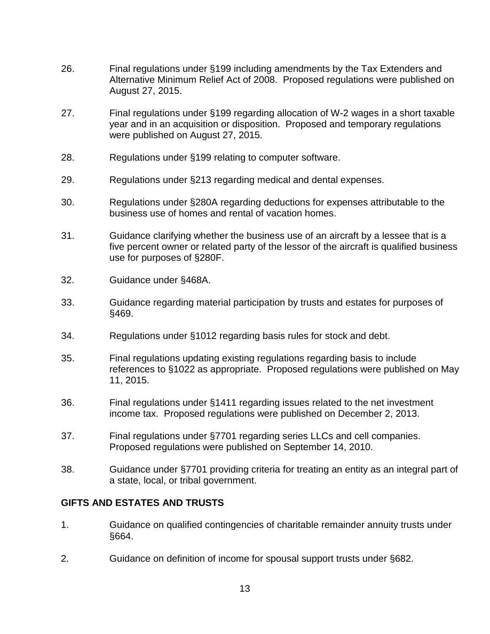- 26. Final regulations under §199 including amendments by the Tax Extenders and Alternative Minimum Relief Act of 2008. Proposed regulations were published on August 27, 2015.
- 27. Final regulations under §199 regarding allocation of W-2 wages in a short taxable year and in an acquisition or disposition. Proposed and temporary regulations were published on August 27, 2015.
- 28. Regulations under §199 relating to computer software.
- 29. Regulations under §213 regarding medical and dental expenses.
- 30. Regulations under §280A regarding deductions for expenses attributable to the business use of homes and rental of vacation homes.
- 31. Guidance clarifying whether the business use of an aircraft by a lessee that is a five percent owner or related party of the lessor of the aircraft is qualified business use for purposes of §280F.
- 32. Guidance under §468A.
- 33. Guidance regarding material participation by trusts and estates for purposes of §469.
- 34. Regulations under §1012 regarding basis rules for stock and debt.
- 35. Final regulations updating existing regulations regarding basis to include references to §1022 as appropriate. Proposed regulations were published on May 11, 2015.
- 36. Final regulations under §1411 regarding issues related to the net investment income tax. Proposed regulations were published on December 2, 2013.
- 37. Final regulations under §7701 regarding series LLCs and cell companies. Proposed regulations were published on September 14, 2010.
- 38. Guidance under §7701 providing criteria for treating an entity as an integral part of a state, local, or tribal government.

### **GIFTS AND ESTATES AND TRUSTS**

- 1. Guidance on qualified contingencies of charitable remainder annuity trusts under §664.
- 2. Guidance on definition of income for spousal support trusts under §682.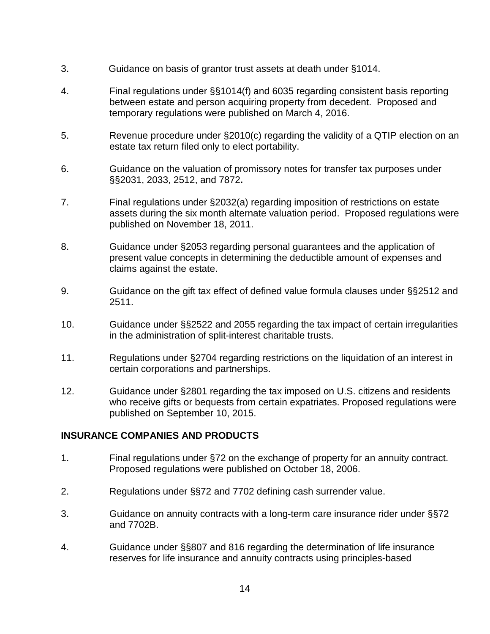- 3. Guidance on basis of grantor trust assets at death under §1014.
- 4. Final regulations under §§1014(f) and 6035 regarding consistent basis reporting between estate and person acquiring property from decedent. Proposed and temporary regulations were published on March 4, 2016.
- 5. Revenue procedure under §2010(c) regarding the validity of a QTIP election on an estate tax return filed only to elect portability.
- 6. Guidance on the valuation of promissory notes for transfer tax purposes under §§2031, 2033, 2512, and 7872**.**
- 7. Final regulations under §2032(a) regarding imposition of restrictions on estate assets during the six month alternate valuation period. Proposed regulations were published on November 18, 2011.
- 8. Guidance under §2053 regarding personal guarantees and the application of present value concepts in determining the deductible amount of expenses and claims against the estate.
- 9. Guidance on the gift tax effect of defined value formula clauses under §§2512 and 2511.
- 10. Guidance under §§2522 and 2055 regarding the tax impact of certain irregularities in the administration of split-interest charitable trusts.
- 11. Regulations under §2704 regarding restrictions on the liquidation of an interest in certain corporations and partnerships.
- 12. Guidance under §2801 regarding the tax imposed on U.S. citizens and residents who receive gifts or bequests from certain expatriates. Proposed regulations were published on September 10, 2015.

#### **INSURANCE COMPANIES AND PRODUCTS**

- 1. Final regulations under §72 on the exchange of property for an annuity contract. Proposed regulations were published on October 18, 2006.
- 2. Regulations under §§72 and 7702 defining cash surrender value.
- 3. Guidance on annuity contracts with a long-term care insurance rider under §§72 and 7702B.
- 4. Guidance under §§807 and 816 regarding the determination of life insurance reserves for life insurance and annuity contracts using principles-based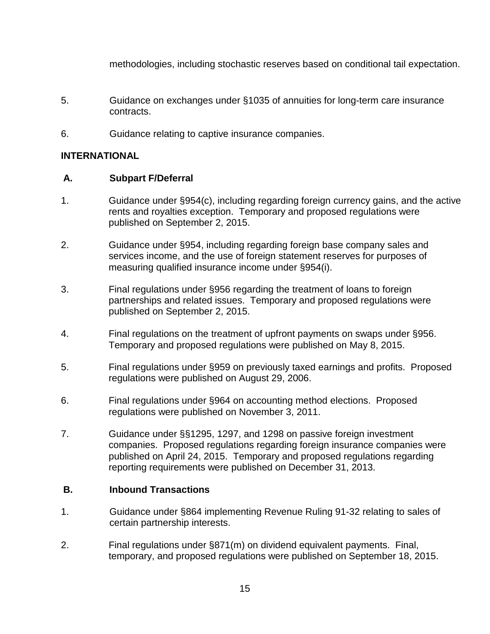methodologies, including stochastic reserves based on conditional tail expectation.

- 5. Guidance on exchanges under §1035 of annuities for long-term care insurance contracts.
- 6. Guidance relating to captive insurance companies.

## **INTERNATIONAL**

## **A. Subpart F/Deferral**

- 1. Guidance under §954(c), including regarding foreign currency gains, and the active rents and royalties exception. Temporary and proposed regulations were published on September 2, 2015.
- 2. Guidance under §954, including regarding foreign base company sales and services income, and the use of foreign statement reserves for purposes of measuring qualified insurance income under §954(i).
- 3. Final regulations under §956 regarding the treatment of loans to foreign partnerships and related issues. Temporary and proposed regulations were published on September 2, 2015.
- 4. Final regulations on the treatment of upfront payments on swaps under §956. Temporary and proposed regulations were published on May 8, 2015.
- 5. Final regulations under §959 on previously taxed earnings and profits. Proposed regulations were published on August 29, 2006.
- 6. Final regulations under §964 on accounting method elections. Proposed regulations were published on November 3, 2011.
- 7. Guidance under §§1295, 1297, and 1298 on passive foreign investment companies. Proposed regulations regarding foreign insurance companies were published on April 24, 2015. Temporary and proposed regulations regarding reporting requirements were published on December 31, 2013.

#### **B. Inbound Transactions**

- 1. Guidance under §864 implementing Revenue Ruling 91-32 relating to sales of certain partnership interests.
- 2. Final regulations under §871(m) on dividend equivalent payments. Final, temporary, and proposed regulations were published on September 18, 2015.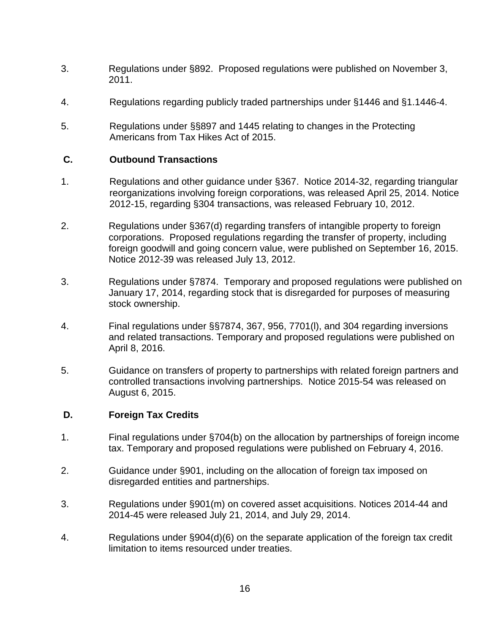- 3. Regulations under §892. Proposed regulations were published on November 3, 2011.
- 4. Regulations regarding publicly traded partnerships under §1446 and §1.1446-4.
- 5. Regulations under §§897 and 1445 relating to changes in the Protecting Americans from Tax Hikes Act of 2015.

#### **C. Outbound Transactions**

- 1. Regulations and other guidance under §367. Notice 2014-32, regarding triangular reorganizations involving foreign corporations, was released April 25, 2014. Notice 2012-15, regarding §304 transactions, was released February 10, 2012.
- 2. Regulations under §367(d) regarding transfers of intangible property to foreign corporations. Proposed regulations regarding the transfer of property, including foreign goodwill and going concern value, were published on September 16, 2015. Notice 2012-39 was released July 13, 2012.
- 3. Regulations under §7874. Temporary and proposed regulations were published on January 17, 2014, regarding stock that is disregarded for purposes of measuring stock ownership.
- 4. Final regulations under §§7874, 367, 956, 7701(l), and 304 regarding inversions and related transactions. Temporary and proposed regulations were published on April 8, 2016.
- 5. Guidance on transfers of property to partnerships with related foreign partners and controlled transactions involving partnerships. Notice 2015-54 was released on August 6, 2015.

#### **D. Foreign Tax Credits**

- 1. Final regulations under §704(b) on the allocation by partnerships of foreign income tax. Temporary and proposed regulations were published on February 4, 2016.
- 2. Guidance under §901, including on the allocation of foreign tax imposed on disregarded entities and partnerships.
- 3. Regulations under §901(m) on covered asset acquisitions. Notices 2014-44 and 2014-45 were released July 21, 2014, and July 29, 2014.
- 4. Regulations under §904(d)(6) on the separate application of the foreign tax credit limitation to items resourced under treaties.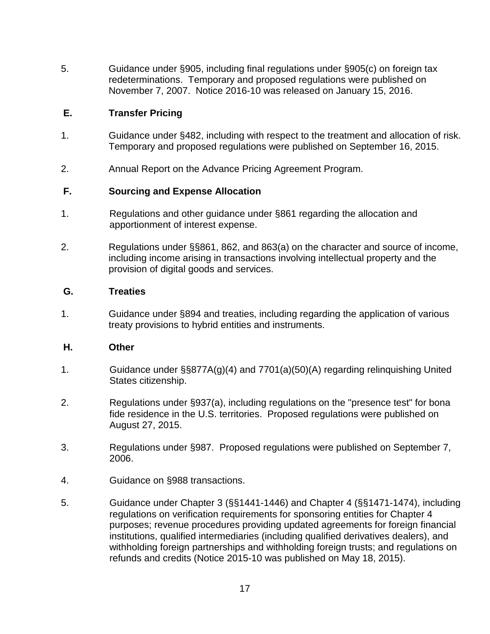5. Guidance under §905, including final regulations under §905(c) on foreign tax redeterminations. Temporary and proposed regulations were published on November 7, 2007. Notice 2016-10 was released on January 15, 2016.

## **E. Transfer Pricing**

- 1. Guidance under §482, including with respect to the treatment and allocation of risk. Temporary and proposed regulations were published on September 16, 2015.
- 2. Annual Report on the Advance Pricing Agreement Program.

## **F. Sourcing and Expense Allocation**

- 1. Regulations and other guidance under §861 regarding the allocation and apportionment of interest expense.
- 2. Regulations under §§861, 862, and 863(a) on the character and source of income, including income arising in transactions involving intellectual property and the provision of digital goods and services.

#### **G. Treaties**

1. Guidance under §894 and treaties, including regarding the application of various treaty provisions to hybrid entities and instruments.

#### **H. Other**

- 1. Guidance under §§877A(g)(4) and 7701(a)(50)(A) regarding relinquishing United States citizenship.
- 2. Regulations under §937(a), including regulations on the "presence test" for bona fide residence in the U.S. territories. Proposed regulations were published on August 27, 2015.
- 3. Regulations under §987. Proposed regulations were published on September 7, 2006.
- 4. Guidance on §988 transactions.
- 5. Guidance under Chapter 3 (§§1441-1446) and Chapter 4 (§§1471-1474), including regulations on verification requirements for sponsoring entities for Chapter 4 purposes; revenue procedures providing updated agreements for foreign financial institutions, qualified intermediaries (including qualified derivatives dealers), and withholding foreign partnerships and withholding foreign trusts; and regulations on refunds and credits (Notice 2015-10 was published on May 18, 2015).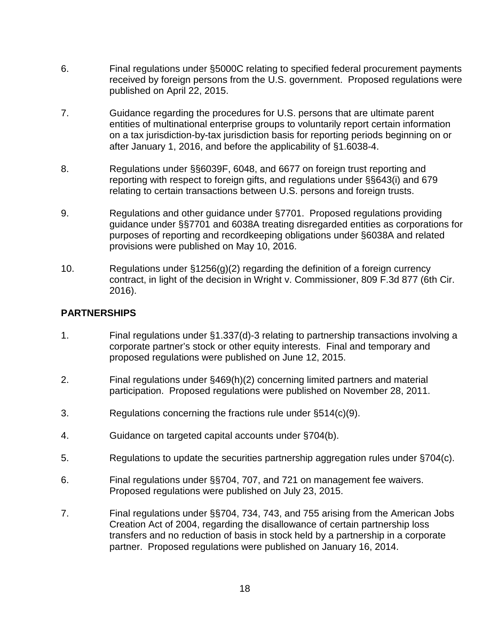- 6. Final regulations under §5000C relating to specified federal procurement payments received by foreign persons from the U.S. government. Proposed regulations were published on April 22, 2015.
- 7. Guidance regarding the procedures for U.S. persons that are ultimate parent entities of multinational enterprise groups to voluntarily report certain information on a tax jurisdiction-by-tax jurisdiction basis for reporting periods beginning on or after January 1, 2016, and before the applicability of §1.6038-4.
- 8. Regulations under §§6039F, 6048, and 6677 on foreign trust reporting and reporting with respect to foreign gifts, and regulations under §§643(i) and 679 relating to certain transactions between U.S. persons and foreign trusts.
- 9. Regulations and other guidance under §7701. Proposed regulations providing guidance under §§7701 and 6038A treating disregarded entities as corporations for purposes of reporting and recordkeeping obligations under §6038A and related provisions were published on May 10, 2016.
- 10. Regulations under §1256(g)(2) regarding the definition of a foreign currency contract, in light of the decision in Wright v. Commissioner, 809 F.3d 877 (6th Cir. 2016).

# **PARTNERSHIPS**

- 1. Final regulations under §1.337(d)-3 relating to partnership transactions involving a corporate partner's stock or other equity interests. Final and temporary and proposed regulations were published on June 12, 2015.
- 2. Final regulations under §469(h)(2) concerning limited partners and material participation. Proposed regulations were published on November 28, 2011.
- 3. Regulations concerning the fractions rule under §514(c)(9).
- 4. Guidance on targeted capital accounts under §704(b).
- 5. Regulations to update the securities partnership aggregation rules under §704(c).
- 6. Final regulations under §§704, 707, and 721 on management fee waivers. Proposed regulations were published on July 23, 2015.
- 7. Final regulations under §§704, 734, 743, and 755 arising from the American Jobs Creation Act of 2004, regarding the disallowance of certain partnership loss transfers and no reduction of basis in stock held by a partnership in a corporate partner. Proposed regulations were published on January 16, 2014.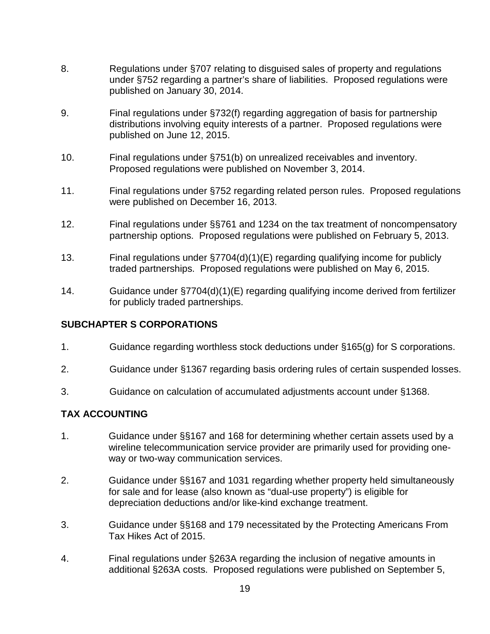- 8. Regulations under §707 relating to disguised sales of property and regulations under §752 regarding a partner's share of liabilities. Proposed regulations were published on January 30, 2014.
- 9. Final regulations under §732(f) regarding aggregation of basis for partnership distributions involving equity interests of a partner. Proposed regulations were published on June 12, 2015.
- 10. Final regulations under §751(b) on unrealized receivables and inventory. Proposed regulations were published on November 3, 2014.
- 11. Final regulations under §752 regarding related person rules. Proposed regulations were published on December 16, 2013.
- 12. Final regulations under §§761 and 1234 on the tax treatment of noncompensatory partnership options. Proposed regulations were published on February 5, 2013.
- 13. Final regulations under §7704(d)(1)(E) regarding qualifying income for publicly traded partnerships. Proposed regulations were published on May 6, 2015.
- 14. Guidance under §7704(d)(1)(E) regarding qualifying income derived from fertilizer for publicly traded partnerships.

#### **SUBCHAPTER S CORPORATIONS**

- 1. Guidance regarding worthless stock deductions under §165(g) for S corporations.
- 2. Guidance under §1367 regarding basis ordering rules of certain suspended losses.
- 3. Guidance on calculation of accumulated adjustments account under §1368.

#### **TAX ACCOUNTING**

- 1. Guidance under §§167 and 168 for determining whether certain assets used by a wireline telecommunication service provider are primarily used for providing oneway or two-way communication services.
- 2. Guidance under §§167 and 1031 regarding whether property held simultaneously for sale and for lease (also known as "dual-use property") is eligible for depreciation deductions and/or like-kind exchange treatment.
- 3. Guidance under §§168 and 179 necessitated by the Protecting Americans From Tax Hikes Act of 2015.
- 4. Final regulations under §263A regarding the inclusion of negative amounts in additional §263A costs. Proposed regulations were published on September 5,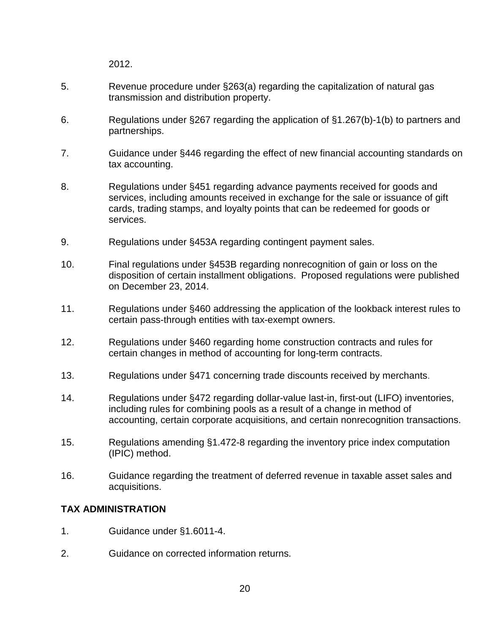2012.

- 5. Revenue procedure under §263(a) regarding the capitalization of natural gas transmission and distribution property.
- 6. Regulations under §267 regarding the application of §1.267(b)-1(b) to partners and partnerships.
- 7. Guidance under §446 regarding the effect of new financial accounting standards on tax accounting.
- 8. Regulations under §451 regarding advance payments received for goods and services, including amounts received in exchange for the sale or issuance of gift cards, trading stamps, and loyalty points that can be redeemed for goods or services.
- 9. Regulations under §453A regarding contingent payment sales.
- 10. Final regulations under §453B regarding nonrecognition of gain or loss on the disposition of certain installment obligations. Proposed regulations were published on December 23, 2014.
- 11. Regulations under §460 addressing the application of the lookback interest rules to certain pass-through entities with tax-exempt owners.
- 12. Regulations under §460 regarding home construction contracts and rules for certain changes in method of accounting for long-term contracts.
- 13. Regulations under §471 concerning trade discounts received by merchants.
- 14. Regulations under §472 regarding dollar-value last-in, first-out (LIFO) inventories, including rules for combining pools as a result of a change in method of accounting, certain corporate acquisitions, and certain nonrecognition transactions.
- 15. Regulations amending §1.472-8 regarding the inventory price index computation (IPIC) method.
- 16. Guidance regarding the treatment of deferred revenue in taxable asset sales and acquisitions.

#### **TAX ADMINISTRATION**

- 1. Guidance under §1.6011-4.
- 2. Guidance on corrected information returns.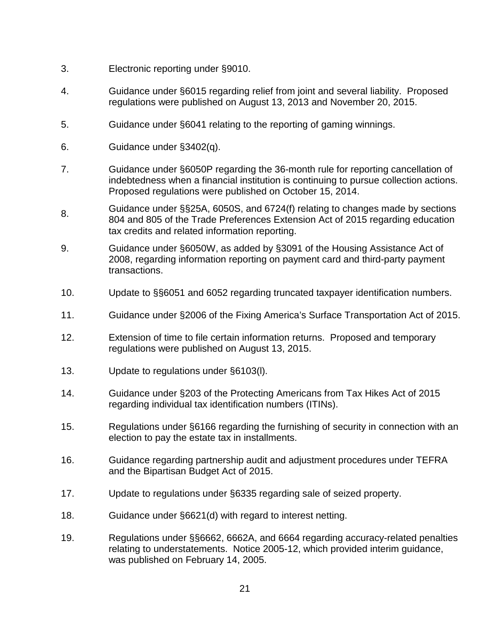- 3. Electronic reporting under §9010.
- 4. Guidance under §6015 regarding relief from joint and several liability. Proposed regulations were published on August 13, 2013 and November 20, 2015.
- 5. Guidance under §6041 relating to the reporting of gaming winnings.
- 6. Guidance under §3402(q).
- 7. Guidance under §6050P regarding the 36-month rule for reporting cancellation of indebtedness when a financial institution is continuing to pursue collection actions. Proposed regulations were published on October 15, 2014.
- 8. Guidance under §§25A, 6050S, and 6724(f) relating to changes made by sections 804 and 805 of the Trade Preferences Extension Act of 2015 regarding education tax credits and related information reporting.
- 9. Guidance under §6050W, as added by §3091 of the Housing Assistance Act of 2008, regarding information reporting on payment card and third-party payment transactions.
- 10. Update to §§6051 and 6052 regarding truncated taxpayer identification numbers.
- 11. Guidance under §2006 of the Fixing America's Surface Transportation Act of 2015.
- 12. Extension of time to file certain information returns. Proposed and temporary regulations were published on August 13, 2015.
- 13. Update to regulations under §6103(l).
- 14. Guidance under §203 of the Protecting Americans from Tax Hikes Act of 2015 regarding individual tax identification numbers (ITINs).
- 15. Regulations under §6166 regarding the furnishing of security in connection with an election to pay the estate tax in installments.
- 16. Guidance regarding partnership audit and adjustment procedures under TEFRA and the Bipartisan Budget Act of 2015.
- 17. Update to regulations under §6335 regarding sale of seized property.
- 18. Guidance under §6621(d) with regard to interest netting.
- 19. Regulations under §§6662, 6662A, and 6664 regarding accuracy-related penalties relating to understatements. Notice 2005-12, which provided interim guidance, was published on February 14, 2005.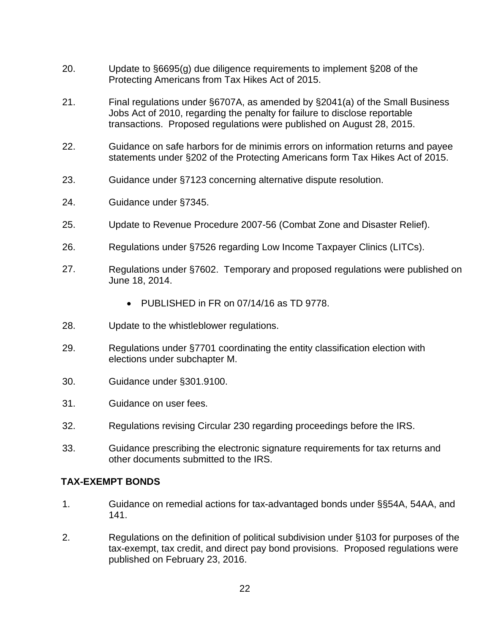- 20. Update to §6695(g) due diligence requirements to implement §208 of the Protecting Americans from Tax Hikes Act of 2015.
- 21. Final regulations under §6707A, as amended by §2041(a) of the Small Business Jobs Act of 2010, regarding the penalty for failure to disclose reportable transactions. Proposed regulations were published on August 28, 2015.
- 22. Guidance on safe harbors for de minimis errors on information returns and payee statements under §202 of the Protecting Americans form Tax Hikes Act of 2015.
- 23. Guidance under §7123 concerning alternative dispute resolution.
- 24. Guidance under §7345.
- 25. Update to Revenue Procedure 2007-56 (Combat Zone and Disaster Relief).
- 26. Regulations under §7526 regarding Low Income Taxpayer Clinics (LITCs).
- 27. Regulations under §7602. Temporary and proposed regulations were published on June 18, 2014.
	- PUBLISHED in FR on 07/14/16 as TD 9778.
- 28. Update to the whistleblower regulations.
- 29. Regulations under §7701 coordinating the entity classification election with elections under subchapter M.
- 30. Guidance under §301.9100.
- 31. Guidance on user fees.
- 32. Regulations revising Circular 230 regarding proceedings before the IRS.
- 33. Guidance prescribing the electronic signature requirements for tax returns and other documents submitted to the IRS.

# **TAX-EXEMPT BONDS**

- 1. Guidance on remedial actions for tax-advantaged bonds under §§54A, 54AA, and 141.
- 2. Regulations on the definition of political subdivision under §103 for purposes of the tax-exempt, tax credit, and direct pay bond provisions. Proposed regulations were published on February 23, 2016.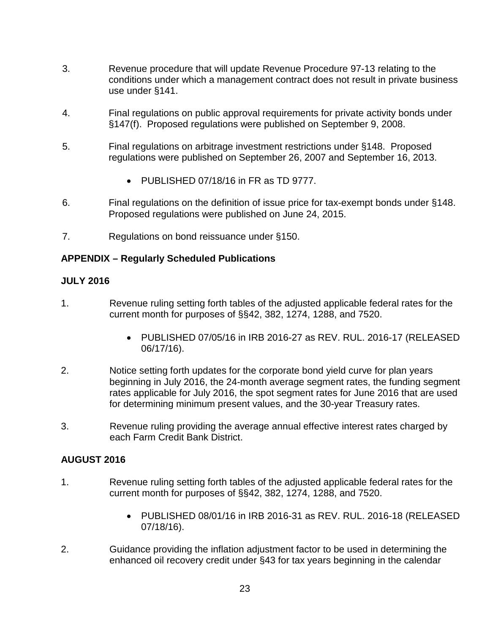- 3. Revenue procedure that will update Revenue Procedure 97-13 relating to the conditions under which a management contract does not result in private business use under §141.
- 4. Final regulations on public approval requirements for private activity bonds under §147(f). Proposed regulations were published on September 9, 2008.
- 5. Final regulations on arbitrage investment restrictions under §148. Proposed regulations were published on September 26, 2007 and September 16, 2013.
	- PUBLISHED 07/18/16 in FR as TD 9777.
- 6. Final regulations on the definition of issue price for tax-exempt bonds under §148. Proposed regulations were published on June 24, 2015.
- 7. Regulations on bond reissuance under §150.

#### **APPENDIX – Regularly Scheduled Publications**

#### **JULY 2016**

- 1. Revenue ruling setting forth tables of the adjusted applicable federal rates for the current month for purposes of §§42, 382, 1274, 1288, and 7520.
	- PUBLISHED 07/05/16 in IRB 2016-27 as REV. RUL. 2016-17 (RELEASED 06/17/16).
- 2. Notice setting forth updates for the corporate bond yield curve for plan years beginning in July 2016, the 24-month average segment rates, the funding segment rates applicable for July 2016, the spot segment rates for June 2016 that are used for determining minimum present values, and the 30-year Treasury rates.
- 3. Revenue ruling providing the average annual effective interest rates charged by each Farm Credit Bank District.

#### **AUGUST 2016**

- 1. Revenue ruling setting forth tables of the adjusted applicable federal rates for the current month for purposes of §§42, 382, 1274, 1288, and 7520.
	- PUBLISHED 08/01/16 in IRB 2016-31 as REV. RUL. 2016-18 (RELEASED 07/18/16).
- 2. Guidance providing the inflation adjustment factor to be used in determining the enhanced oil recovery credit under §43 for tax years beginning in the calendar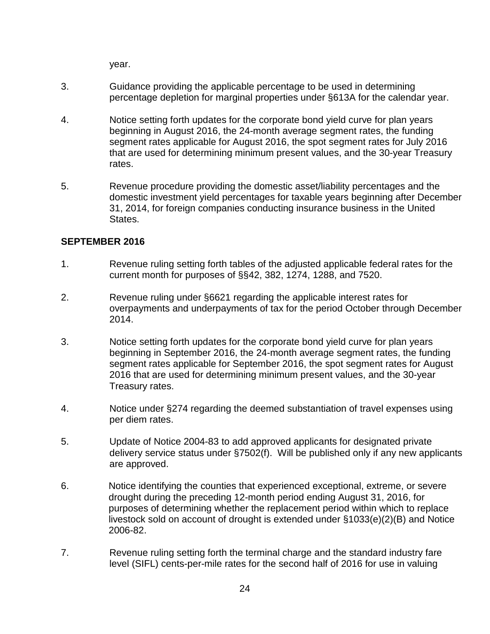year.

- 3. Guidance providing the applicable percentage to be used in determining percentage depletion for marginal properties under §613A for the calendar year.
- 4. Notice setting forth updates for the corporate bond yield curve for plan years beginning in August 2016, the 24-month average segment rates, the funding segment rates applicable for August 2016, the spot segment rates for July 2016 that are used for determining minimum present values, and the 30-year Treasury rates.
- 5. Revenue procedure providing the domestic asset/liability percentages and the domestic investment yield percentages for taxable years beginning after December 31, 2014, for foreign companies conducting insurance business in the United States.

## **SEPTEMBER 2016**

- 1. Revenue ruling setting forth tables of the adjusted applicable federal rates for the current month for purposes of §§42, 382, 1274, 1288, and 7520.
- 2. Revenue ruling under §6621 regarding the applicable interest rates for overpayments and underpayments of tax for the period October through December 2014.
- 3. Notice setting forth updates for the corporate bond yield curve for plan years beginning in September 2016, the 24-month average segment rates, the funding segment rates applicable for September 2016, the spot segment rates for August 2016 that are used for determining minimum present values, and the 30-year Treasury rates.
- 4. Notice under §274 regarding the deemed substantiation of travel expenses using per diem rates.
- 5. Update of Notice 2004-83 to add approved applicants for designated private delivery service status under §7502(f). Will be published only if any new applicants are approved.
- 6. Notice identifying the counties that experienced exceptional, extreme, or severe drought during the preceding 12-month period ending August 31, 2016, for purposes of determining whether the replacement period within which to replace livestock sold on account of drought is extended under §1033(e)(2)(B) and Notice 2006-82.
- 7. Revenue ruling setting forth the terminal charge and the standard industry fare level (SIFL) cents-per-mile rates for the second half of 2016 for use in valuing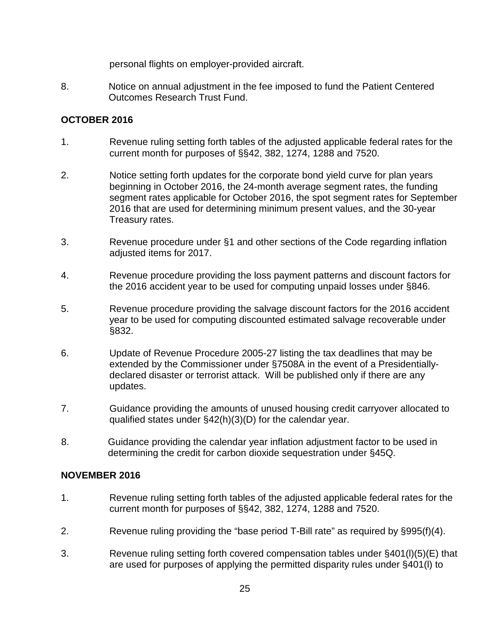personal flights on employer-provided aircraft.

8. Notice on annual adjustment in the fee imposed to fund the Patient Centered Outcomes Research Trust Fund.

## **OCTOBER 2016**

- 1. Revenue ruling setting forth tables of the adjusted applicable federal rates for the current month for purposes of §§42, 382, 1274, 1288 and 7520.
- 2. Notice setting forth updates for the corporate bond yield curve for plan years beginning in October 2016, the 24-month average segment rates, the funding segment rates applicable for October 2016, the spot segment rates for September 2016 that are used for determining minimum present values, and the 30-year Treasury rates.
- 3. Revenue procedure under §1 and other sections of the Code regarding inflation adjusted items for 2017.
- 4. Revenue procedure providing the loss payment patterns and discount factors for the 2016 accident year to be used for computing unpaid losses under §846.
- 5. Revenue procedure providing the salvage discount factors for the 2016 accident year to be used for computing discounted estimated salvage recoverable under §832.
- 6. Update of Revenue Procedure 2005-27 listing the tax deadlines that may be extended by the Commissioner under §7508A in the event of a Presidentiallydeclared disaster or terrorist attack. Will be published only if there are any updates.
- 7. Guidance providing the amounts of unused housing credit carryover allocated to qualified states under §42(h)(3)(D) for the calendar year.
- 8. Guidance providing the calendar year inflation adjustment factor to be used in determining the credit for carbon dioxide sequestration under §45Q.

#### **NOVEMBER 2016**

- 1. Revenue ruling setting forth tables of the adjusted applicable federal rates for the current month for purposes of §§42, 382, 1274, 1288 and 7520.
- 2. Revenue ruling providing the "base period T-Bill rate" as required by §995(f)(4).
- 3. Revenue ruling setting forth covered compensation tables under §401(l)(5)(E) that are used for purposes of applying the permitted disparity rules under §401(l) to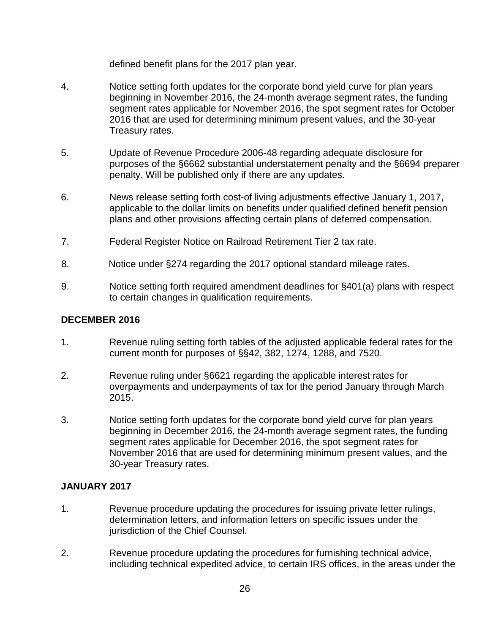defined benefit plans for the 2017 plan year.

- 4. Notice setting forth updates for the corporate bond yield curve for plan years beginning in November 2016, the 24-month average segment rates, the funding segment rates applicable for November 2016, the spot segment rates for October 2016 that are used for determining minimum present values, and the 30-year Treasury rates.
- 5. Update of Revenue Procedure 2006-48 regarding adequate disclosure for purposes of the §6662 substantial understatement penalty and the §6694 preparer penalty. Will be published only if there are any updates.
- 6. News release setting forth cost-of living adjustments effective January 1, 2017, applicable to the dollar limits on benefits under qualified defined benefit pension plans and other provisions affecting certain plans of deferred compensation.
- 7. Federal Register Notice on Railroad Retirement Tier 2 tax rate.
- 8. Notice under §274 regarding the 2017 optional standard mileage rates.
- 9. Notice setting forth required amendment deadlines for §401(a) plans with respect to certain changes in qualification requirements.

# **DECEMBER 2016**

- 1. Revenue ruling setting forth tables of the adjusted applicable federal rates for the current month for purposes of §§42, 382, 1274, 1288, and 7520.
- 2. Revenue ruling under §6621 regarding the applicable interest rates for overpayments and underpayments of tax for the period January through March 2015.
- 3. Notice setting forth updates for the corporate bond yield curve for plan years beginning in December 2016, the 24-month average segment rates, the funding segment rates applicable for December 2016, the spot segment rates for November 2016 that are used for determining minimum present values, and the 30-year Treasury rates.

# **JANUARY 2017**

- 1. Revenue procedure updating the procedures for issuing private letter rulings, determination letters, and information letters on specific issues under the jurisdiction of the Chief Counsel.
- 2. Revenue procedure updating the procedures for furnishing technical advice, including technical expedited advice, to certain IRS offices, in the areas under the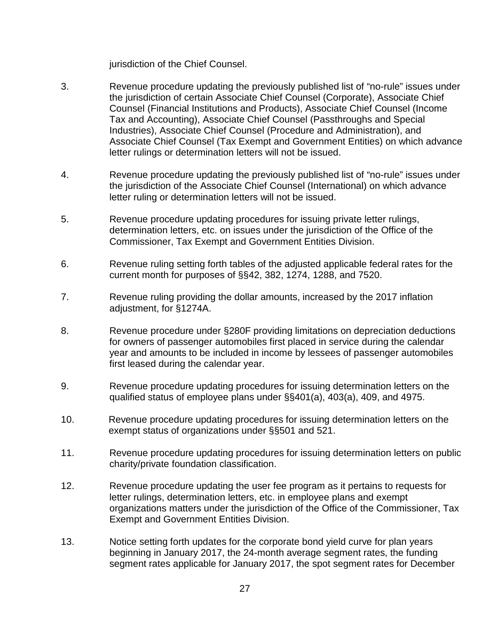jurisdiction of the Chief Counsel.

- 3. Revenue procedure updating the previously published list of "no-rule" issues under the jurisdiction of certain Associate Chief Counsel (Corporate), Associate Chief Counsel (Financial Institutions and Products), Associate Chief Counsel (Income Tax and Accounting), Associate Chief Counsel (Passthroughs and Special Industries), Associate Chief Counsel (Procedure and Administration), and Associate Chief Counsel (Tax Exempt and Government Entities) on which advance letter rulings or determination letters will not be issued.
- 4. Revenue procedure updating the previously published list of "no-rule" issues under the jurisdiction of the Associate Chief Counsel (International) on which advance letter ruling or determination letters will not be issued.
- 5. Revenue procedure updating procedures for issuing private letter rulings, determination letters, etc. on issues under the jurisdiction of the Office of the Commissioner, Tax Exempt and Government Entities Division.
- 6. Revenue ruling setting forth tables of the adjusted applicable federal rates for the current month for purposes of §§42, 382, 1274, 1288, and 7520.
- 7. Revenue ruling providing the dollar amounts, increased by the 2017 inflation adjustment, for §1274A.
- 8. Revenue procedure under §280F providing limitations on depreciation deductions for owners of passenger automobiles first placed in service during the calendar year and amounts to be included in income by lessees of passenger automobiles first leased during the calendar year.
- 9. Revenue procedure updating procedures for issuing determination letters on the qualified status of employee plans under §§401(a), 403(a), 409, and 4975.
- 10. Revenue procedure updating procedures for issuing determination letters on the exempt status of organizations under §§501 and 521.
- 11. Revenue procedure updating procedures for issuing determination letters on public charity/private foundation classification.
- 12. Revenue procedure updating the user fee program as it pertains to requests for letter rulings, determination letters, etc. in employee plans and exempt organizations matters under the jurisdiction of the Office of the Commissioner, Tax Exempt and Government Entities Division.
- 13. Notice setting forth updates for the corporate bond yield curve for plan years beginning in January 2017, the 24-month average segment rates, the funding segment rates applicable for January 2017, the spot segment rates for December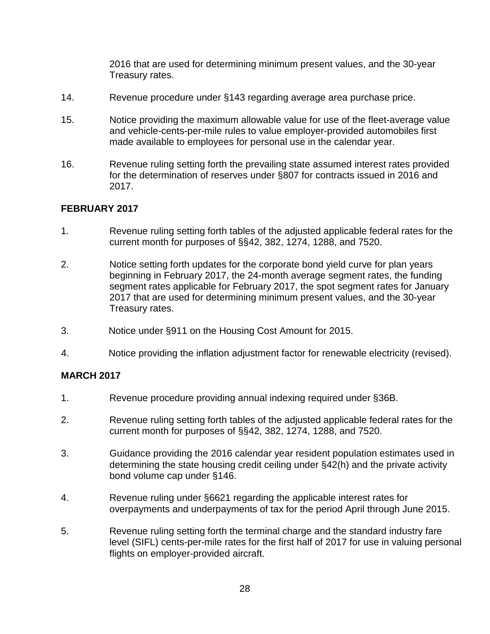2016 that are used for determining minimum present values, and the 30-year Treasury rates.

- 14. Revenue procedure under §143 regarding average area purchase price.
- 15. Notice providing the maximum allowable value for use of the fleet-average value and vehicle-cents-per-mile rules to value employer-provided automobiles first made available to employees for personal use in the calendar year.
- 16. Revenue ruling setting forth the prevailing state assumed interest rates provided for the determination of reserves under §807 for contracts issued in 2016 and 2017.

## **FEBRUARY 2017**

- 1. Revenue ruling setting forth tables of the adjusted applicable federal rates for the current month for purposes of §§42, 382, 1274, 1288, and 7520.
- 2. Notice setting forth updates for the corporate bond yield curve for plan years beginning in February 2017, the 24-month average segment rates, the funding segment rates applicable for February 2017, the spot segment rates for January 2017 that are used for determining minimum present values, and the 30-year Treasury rates.
- 3. Notice under §911 on the Housing Cost Amount for 2015.
- 4. Notice providing the inflation adjustment factor for renewable electricity (revised).

#### **MARCH 2017**

- 1. Revenue procedure providing annual indexing required under §36B.
- 2. Revenue ruling setting forth tables of the adjusted applicable federal rates for the current month for purposes of §§42, 382, 1274, 1288, and 7520.
- 3. Guidance providing the 2016 calendar year resident population estimates used in determining the state housing credit ceiling under §42(h) and the private activity bond volume cap under §146.
- 4. Revenue ruling under §6621 regarding the applicable interest rates for overpayments and underpayments of tax for the period April through June 2015.
- 5. Revenue ruling setting forth the terminal charge and the standard industry fare level (SIFL) cents-per-mile rates for the first half of 2017 for use in valuing personal flights on employer-provided aircraft.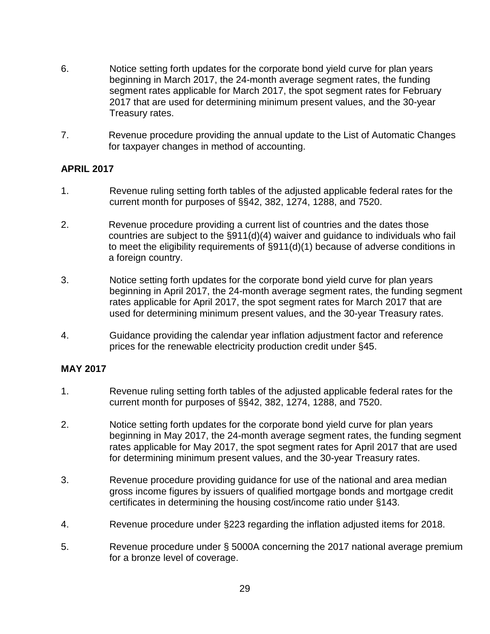- 6. Notice setting forth updates for the corporate bond yield curve for plan years beginning in March 2017, the 24-month average segment rates, the funding segment rates applicable for March 2017, the spot segment rates for February 2017 that are used for determining minimum present values, and the 30-year Treasury rates.
- 7. Revenue procedure providing the annual update to the List of Automatic Changes for taxpayer changes in method of accounting.

#### **APRIL 2017**

- 1. Revenue ruling setting forth tables of the adjusted applicable federal rates for the current month for purposes of §§42, 382, 1274, 1288, and 7520.
- 2. Revenue procedure providing a current list of countries and the dates those countries are subject to the §911(d)(4) waiver and guidance to individuals who fail to meet the eligibility requirements of §911(d)(1) because of adverse conditions in a foreign country.
- 3. Notice setting forth updates for the corporate bond yield curve for plan years beginning in April 2017, the 24-month average segment rates, the funding segment rates applicable for April 2017, the spot segment rates for March 2017 that are used for determining minimum present values, and the 30-year Treasury rates.
- 4. Guidance providing the calendar year inflation adjustment factor and reference prices for the renewable electricity production credit under §45.

#### **MAY 2017**

- 1. Revenue ruling setting forth tables of the adjusted applicable federal rates for the current month for purposes of §§42, 382, 1274, 1288, and 7520.
- 2. Notice setting forth updates for the corporate bond yield curve for plan years beginning in May 2017, the 24-month average segment rates, the funding segment rates applicable for May 2017, the spot segment rates for April 2017 that are used for determining minimum present values, and the 30-year Treasury rates.
- 3. Revenue procedure providing guidance for use of the national and area median gross income figures by issuers of qualified mortgage bonds and mortgage credit certificates in determining the housing cost/income ratio under §143.
- 4. Revenue procedure under §223 regarding the inflation adjusted items for 2018.
- 5. Revenue procedure under § 5000A concerning the 2017 national average premium for a bronze level of coverage.